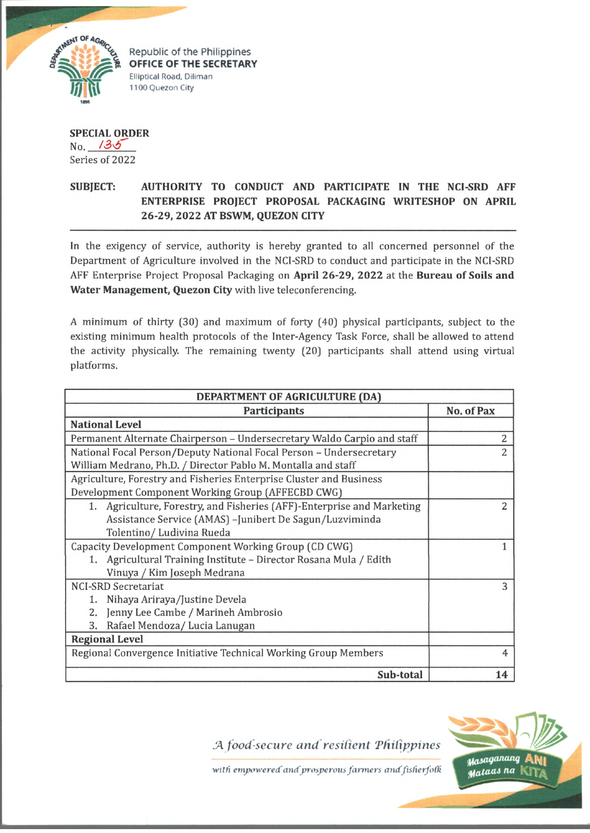

*\$* Republic of the Philippines **SECRETARY** Elliptical Road, Diliman 1100 Quezon City

**SPECIAL ORDER** No. */3^T* Series of 2022

## **SUBJECT: AUTHORITY TO CONDUCT AND PARTICIPATE IN THE NCI-SRD AFF ENTERPRISE PROJECT PROPOSAL PACKAGING WRITESHOP ON APRIL 26-29, 2022 AT BSWM, QUEZON CITY**

In the exigency of service, authority is hereby granted to all concerned personnel of the Department of Agriculture involved in the NCI-SRD to conduct and participate in the NCI-SRD AFF Enterprise Project Proposal Packaging on **April 26-29, 2022** at the **Bureau of Soils and Water Management, Quezon City** with live teleconferencing.

A minimum of thirty (30} and maximum of forty (40} physical participants, subject to the existing minimum health protocols of the Inter-Agency Task Force, shall be allowed to attend the activity physically. The remaining twenty (20} participants shall attend using virtual platforms.

| DEPARTMENT OF AGRICULTURE (DA)                                          |            |
|-------------------------------------------------------------------------|------------|
| <b>Participants</b>                                                     | No. of Pax |
| <b>National Level</b>                                                   |            |
| Permanent Alternate Chairperson - Undersecretary Waldo Carpio and staff | 2          |
| National Focal Person/Deputy National Focal Person - Undersecretary     | 2          |
| William Medrano, Ph.D. / Director Pablo M. Montalla and staff           |            |
| Agriculture, Forestry and Fisheries Enterprise Cluster and Business     |            |
| Development Component Working Group (AFFECBD CWG)                       |            |
| 1. Agriculture, Forestry, and Fisheries (AFF)-Enterprise and Marketing  | 2          |
| Assistance Service (AMAS) - Junibert De Sagun/Luzviminda                |            |
| Tolentino/ Ludivina Rueda                                               |            |
| Capacity Development Component Working Group (CD CWG)                   |            |
| 1. Agricultural Training Institute - Director Rosana Mula / Edith       |            |
| Vinuya / Kim Joseph Medrana                                             |            |
| <b>NCI-SRD Secretariat</b>                                              | 3          |
| 1. Nihaya Ariraya/Justine Devela                                        |            |
| Jenny Lee Cambe / Marineh Ambrosio<br>2.                                |            |
| Rafael Mendoza/ Lucia Lanugan<br>3.                                     |            |
| <b>Regional Level</b>                                                   |            |
| Regional Convergence Initiative Technical Working Group Members         |            |
| Sub-total                                                               | 14         |

*.A food-secure and resilient 'Philippines*



with empowered and prosperous farmers and fisherfolk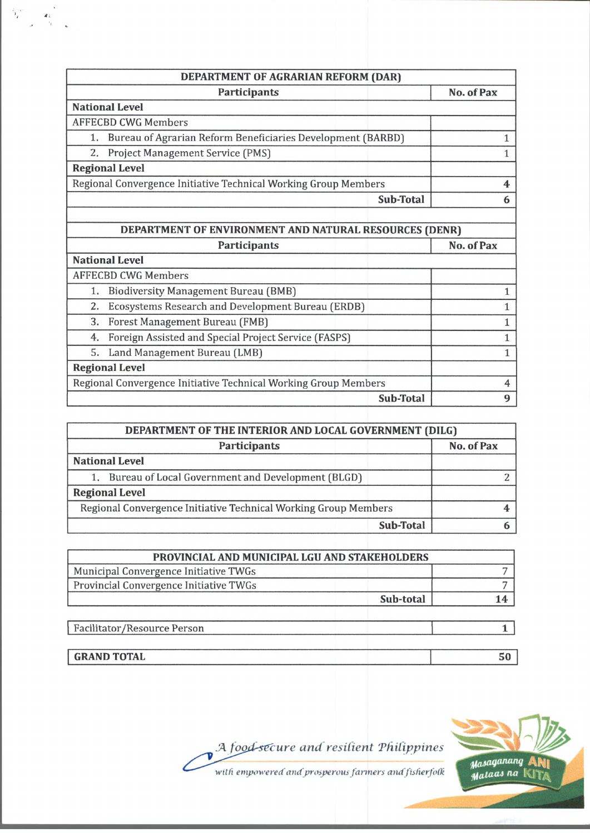| DEPARTMENT OF AGRARIAN REFORM (DAR)                               |              |
|-------------------------------------------------------------------|--------------|
| Participants                                                      | No. of Pax   |
| <b>National Level</b>                                             |              |
| <b>AFFECBD CWG Members</b>                                        |              |
| Bureau of Agrarian Reform Beneficiaries Development (BARBD)<br>1. | 1            |
| 2.<br>Project Management Service (PMS)                            | $\mathbf{1}$ |
| <b>Regional Level</b>                                             |              |
| Regional Convergence Initiative Technical Working Group Members   | 4            |
| Sub-Total                                                         | 6            |
|                                                                   |              |
| DEPARTMENT OF ENVIRONMENT AND NATURAL RESOURCES (DENR)            |              |
| <b>Participants</b>                                               | No. of Pax   |
| <b>National Level</b>                                             |              |
| <b>AFFECBD CWG Members</b>                                        |              |
| <b>Biodiversity Management Bureau (BMB)</b><br>1.                 | 1            |
| Ecosystems Research and Development Bureau (ERDB)<br>2.           | 1            |
| 3.<br>Forest Management Bureau (FMB)                              | 1            |
| Foreign Assisted and Special Project Service (FASPS)<br>4.        | 1            |
| Land Management Bureau (LMB)<br>5.                                | 1            |
| <b>Regional Level</b>                                             |              |
| Regional Convergence Initiative Technical Working Group Members   | 4            |
| Sub-Total                                                         | 9            |

 $\mathbf{r}_i$ 

 $\frac{\alpha_i}{\gamma}$ 

 $\mathbf{f}$ 

| DEPARTMENT OF THE INTERIOR AND LOCAL GOVERNMENT (DILG)          |            |  |
|-----------------------------------------------------------------|------------|--|
| Participants                                                    | No. of Pax |  |
| <b>National Level</b>                                           |            |  |
| 1. Bureau of Local Government and Development (BLGD)            |            |  |
| <b>Regional Level</b>                                           |            |  |
| Regional Convergence Initiative Technical Working Group Members |            |  |
| Sub-Total                                                       |            |  |

| PROVINCIAL AND MUNICIPAL LGU AND STAKEHOLDERS |  |
|-----------------------------------------------|--|
| Municipal Convergence Initiative TWGs         |  |
| Provincial Convergence Initiative TWGs        |  |
| Sub-total                                     |  |

| Facilitator/Resource Person |  |
|-----------------------------|--|
|                             |  |
| <b>GRAND TOTAL</b>          |  |



A food-secure and resilient *Philippines* 

with empowered and prosperous farmers and fisherfolk